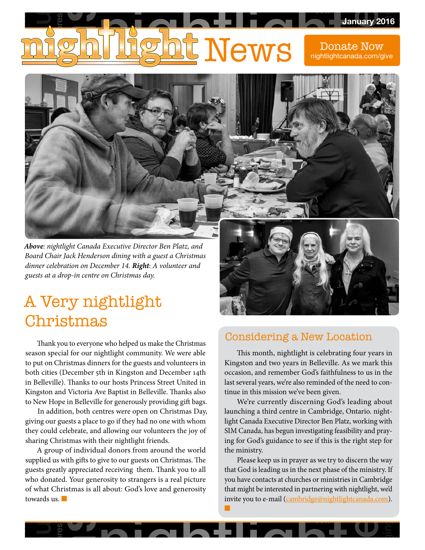# ehilight News Donald anuary 20<br>te Now<br>ada.com/gi lt News WS Donal<br>
nightlightear<br>
and the state of the state of the state of the state of the state of the state of the state of the state of the<br>
and the state of the state of the state of the state of the state of the state of th lonliness encourage of the second friend disciples disciples the control of Guelphia ghtcanada.com/give Friday learn-from-others Wii virtue nightlightcanada.com/givepressive alcoholism <u>Januar</u> Donate Now

**Wednesday** 

e Blance

support

solve

fun

somebody

belongi pada tahun 1975.

Thursday 1984

Mother-Teresa

**God Re** 

serve

purpose in the second service of the series of the series of the series of the series of the series of the series of the series of the series of the series of the series of the series of the series of the series of the ser

helpe a

bonds and

■

*Above: nightlight Canada Executive Director Ben Platz, and Board Chair Jack Henderson dining with a guest a Christmas dinner celebration on December 14. Right: A volunteer and guests at a drop-in centre on Christmas day.*

# A Very nightlight Christmas

inspiration

both cities (December 5th in Kingston and December 14th<br>
in Belleville). Thanks to our hosts Princess Street United in<br>
Kingston and Victoria Ave Baptist in Belleville. Thanks also<br>
to New Hone in Belleville for generously Kingston and Victoria Ave Baptist in Belleville. Thanks also<br>to New Hope in Belleville for generously providing gift bags. m beneville). Thanks to our hosts Princess street Ontled in Thanks last and Victoria Ave Baptist in Belleville. Thanks also Thanki Thank vou to evervone w Thank you to everyone who helped us make the Christmas<br>season special for our nightlight community. We were able<br>to put on Christmas dinners for the guests and volunteers in<br>both cities (December 5th in Kingston and Decemb Thank you to everyone who helped us make the Christmas<br>con special for our nightlight community. We were able season special for our nightlight community. We were able to put on Christmas dinners for the guests and volunteers in in Belleville). Thanks to our hosts Princess Street United in

Hope<br>dditio<br>ur gu<br>ld ce<br>Chris<br>roup ntres were open on Christmas Da<br>to go if they had no one with whon<br>callowing our volunteers the joy o m Be<br>King<br>to Ne<br>I<br>givin<br>they<br>shari<br>A sharing Christmas with their nightlight friends. In addition, both centres were open on Christmas Day, giving our guests a place to go if they had no one with whom they could celebrate, and allowing our volunteers the joy of

ne in selection, both centres were open on Christmas Day,<br>
ition, both centres were open on Christmas Day,<br>
launching a third centre in Cambridge, G<br>
guests a place to go if they had no one with whom<br>
ight Canada Executive could celebrate, and allowing our volunteers the joy of<br>ng Christmas with their nightlight friends.<br>A group of individual donors from around the world<br>lied us with gifts to give to our guests on Christmas. The<br>is greatly a who donated. Your generosity to strangers is a real picture<br>of what Christmas is all about: God's love and generosity<br>towards us. ove and generosity that<br>inv ests gree<br>ho dona<br>Marco Wards us<br>Contract us who donated. Tour generosity to strangers is a rear picture<br>of what Christmas is all about: God's love and generosity learn-from-others A group of individual donors from around the world supplied us with gifts to give to our guests on Christmas. The guests greatly appreciated receiving them. Thank you to all towards us. ■

res



jusition of the second second second second second second second second second second second second second second second second second second second second second second second second second second second second second sec

explanation cards

drop-in

problems of

social

lack-of-food

sickness

special

 $\frac{16}{1}$ 

l<br>I

humble

## considering a New Location<br>helped us make the Christmas crystal-methods

occasion, and remember God's faithfulness to us in the<br>last several years, we're also reminded of the need to con-<br>tinue in this mission we've been given This month, nightlight is celebrating four years in<br>Kingston and two years in Belleville. As we mark this<br>occasion and remember God's faithfulness to us in the last several years, we're also reminded of the need to con- $\begin{array}{c} \mathsf{N}\in \mathbb{R}^n,\ \mathsf{N}\in \mathbb{R}^n, \end{array}$ This month, nightlight is celebrating four years in tinue in this mission we've been given.

asion, and<br>t several ye:<br>ue in this r<br>We're cu<br>nching a tl<br>nt Canada, l<br>f for God's<br>ministry.<br>Please keet ission we've been given.<br>rently discerning God's lead<br>rd centre in Cambridge, Onta laun<br>light<br>SIM<br>ing i<br>the i tre in Cambridge, Ontari<br>e Director Ben Platz, worl<br>n investigating feasibility a ing for God's guidance to see if this is the right step for<br>the ministry tinue in this mission we've been given.<br>
We're currently discerning God's leading about<br>
launching a third centre in Cambridge, Ontario. night-<br>
light Canada Executive Director Ben Platz, working with ot<br>ghi<br>ray We're currently discerning God's leading about launching a third centre in Cambridge, Ontario. night-SIM Canada, has begun investigating feasibility and praythe ministry.

urches or ministries in Cambridge<br>in partnering with nightlight, we'd<br>mbridge@nightlightcanada.com) xecutive<br>as begui<br>guidance<br>p us in p<br>ding us interested<br>mail (<u>ca</u> you to all that God is leading us in the next phase of the ministry. If<br>al picture you have contacts at churches or ministries in Cambridge<br>enerosity that might be interested in partnering with nightlight, we'd that might be interested in partnering with ingitiagne, we invite you to e-mail (cambridge@nightlightcanada.com). nmistry.<br>Please keep us in prayer as we try to discern the way<br>God is leading us in the next phase of the ministry If you have contacts at churches or ministries in Cambridge that God is leading us in the next phase of the ministry. If that might be interested in partnering with nightlight, we'd

Wii

**p** 

longing

rethinking